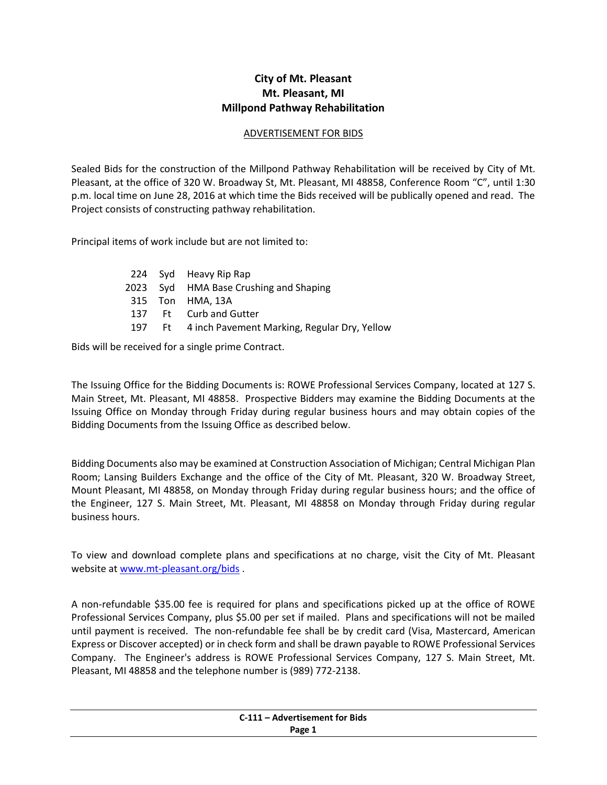## **City of Mt. Pleasant Mt. Pleasant, MI Millpond Pathway Rehabilitation**

## ADVERTISEMENT FOR BIDS

Sealed Bids for the construction of the Millpond Pathway Rehabilitation will be received by City of Mt. Pleasant, at the office of 320 W. Broadway St, Mt. Pleasant, MI 48858, Conference Room "C", until 1:30 p.m. local time on June 28, 2016 at which time the Bids received will be publically opened and read. The Project consists of constructing pathway rehabilitation.

Principal items of work include but are not limited to:

|  | 224 Syd Heavy Rip Rap                               |
|--|-----------------------------------------------------|
|  | 2023 Syd HMA Base Crushing and Shaping              |
|  | 315 Ton HMA, 13A                                    |
|  | 137 Ft Curb and Gutter                              |
|  | 197 Ft 4 inch Pavement Marking, Regular Dry, Yellow |

Bids will be received for a single prime Contract.

The Issuing Office for the Bidding Documents is: ROWE Professional Services Company, located at 127 S. Main Street, Mt. Pleasant, MI 48858. Prospective Bidders may examine the Bidding Documents at the Issuing Office on Monday through Friday during regular business hours and may obtain copies of the Bidding Documents from the Issuing Office as described below.

Bidding Documents also may be examined at Construction Association of Michigan; Central Michigan Plan Room; Lansing Builders Exchange and the office of the City of Mt. Pleasant, 320 W. Broadway Street, Mount Pleasant, MI 48858, on Monday through Friday during regular business hours; and the office of the Engineer, 127 S. Main Street, Mt. Pleasant, MI 48858 on Monday through Friday during regular business hours.

To view and download complete plans and specifications at no charge, visit the City of Mt. Pleasant website at [www.mt-pleasant.org/bids](http://www.mt-pleasant.org/bids) .

A non-refundable \$35.00 fee is required for plans and specifications picked up at the office of ROWE Professional Services Company, plus \$5.00 per set if mailed. Plans and specifications will not be mailed until payment is received. The non-refundable fee shall be by credit card (Visa, Mastercard, American Express or Discover accepted) or in check form and shall be drawn payable to ROWE Professional Services Company. The Engineer's address is ROWE Professional Services Company, 127 S. Main Street, Mt. Pleasant, MI 48858 and the telephone number is (989) 772-2138.

| C-111 - Advertisement for Bids |
|--------------------------------|
| Page 1                         |
|                                |